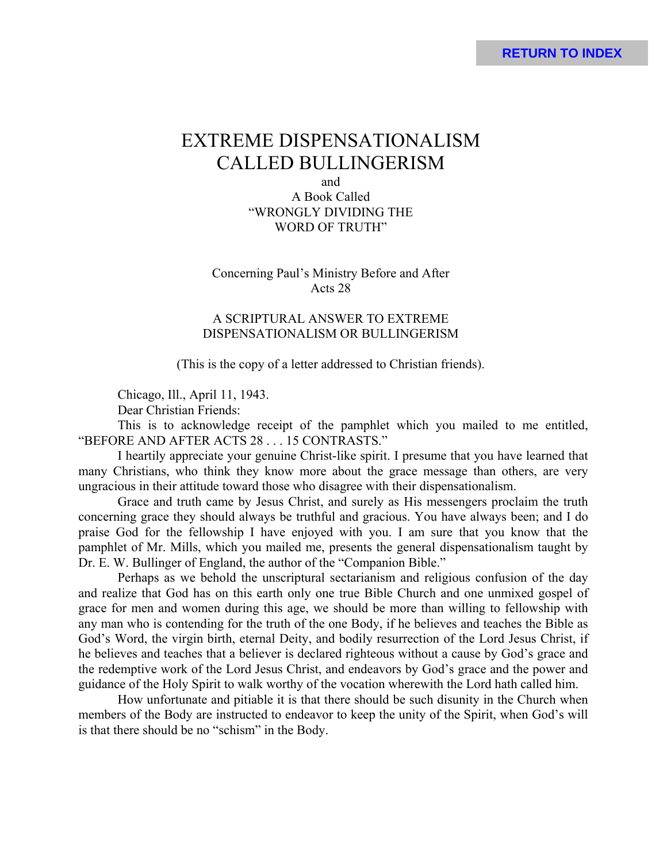# EXTREME DISPENSATIONALISM CALLED BULLINGERISM

and A Book Called "WRONGLY DIVIDING THE WORD OF TRUTH"

Concerning Paul's Ministry Before and After Acts 28

# A SCRIPTURAL ANSWER TO EXTREME DISPENSATIONALISM OR BULLINGERISM

(This is the copy of a letter addressed to Christian friends).

Chicago, Ill., April 11, 1943.

Dear Christian Friends:

This is to acknowledge receipt of the pamphlet which you mailed to me entitled, "BEFORE AND AFTER ACTS 28 . . . 15 CONTRASTS."

I heartily appreciate your genuine Christ-like spirit. I presume that you have learned that many Christians, who think they know more about the grace message than others, are very ungracious in their attitude toward those who disagree with their dispensationalism.

Grace and truth came by Jesus Christ, and surely as His messengers proclaim the truth concerning grace they should always be truthful and gracious. You have always been; and I do praise God for the fellowship I have enjoyed with you. I am sure that you know that the pamphlet of Mr. Mills, which you mailed me, presents the general dispensationalism taught by Dr. E. W. Bullinger of England, the author of the "Companion Bible."

Perhaps as we behold the unscriptural sectarianism and religious confusion of the day and realize that God has on this earth only one true Bible Church and one unmixed gospel of grace for men and women during this age, we should be more than willing to fellowship with any man who is contending for the truth of the one Body, if he believes and teaches the Bible as God's Word, the virgin birth, eternal Deity, and bodily resurrection of the Lord Jesus Christ, if he believes and teaches that a believer is declared righteous without a cause by God's grace and the redemptive work of the Lord Jesus Christ, and endeavors by God's grace and the power and guidance of the Holy Spirit to walk worthy of the vocation wherewith the Lord hath called him.

How unfortunate and pitiable it is that there should be such disunity in the Church when members of the Body are instructed to endeavor to keep the unity of the Spirit, when God's will is that there should be no "schism" in the Body.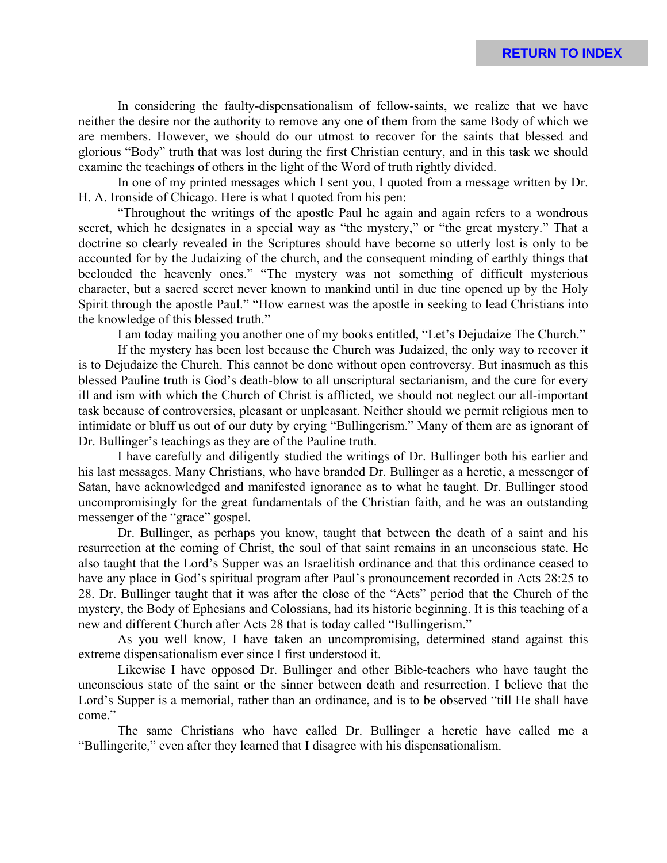In considering the faulty-dispensationalism of fellow-saints, we realize that we have neither the desire nor the authority to remove any one of them from the same Body of which we are members. However, we should do our utmost to recover for the saints that blessed and glorious "Body" truth that was lost during the first Christian century, and in this task we should examine the teachings of others in the light of the Word of truth rightly divided.

In one of my printed messages which I sent you, I quoted from a message written by Dr. H. A. Ironside of Chicago. Here is what I quoted from his pen:

"Throughout the writings of the apostle Paul he again and again refers to a wondrous secret, which he designates in a special way as "the mystery," or "the great mystery." That a doctrine so clearly revealed in the Scriptures should have become so utterly lost is only to be accounted for by the Judaizing of the church, and the consequent minding of earthly things that beclouded the heavenly ones." "The mystery was not something of difficult mysterious character, but a sacred secret never known to mankind until in due tine opened up by the Holy Spirit through the apostle Paul." "How earnest was the apostle in seeking to lead Christians into the knowledge of this blessed truth."

I am today mailing you another one of my books entitled, "Let's Dejudaize The Church."

If the mystery has been lost because the Church was Judaized, the only way to recover it is to Dejudaize the Church. This cannot be done without open controversy. But inasmuch as this blessed Pauline truth is God's death-blow to all unscriptural sectarianism, and the cure for every ill and ism with which the Church of Christ is afflicted, we should not neglect our all-important task because of controversies, pleasant or unpleasant. Neither should we permit religious men to intimidate or bluff us out of our duty by crying "Bullingerism." Many of them are as ignorant of Dr. Bullinger's teachings as they are of the Pauline truth.

I have carefully and diligently studied the writings of Dr. Bullinger both his earlier and his last messages. Many Christians, who have branded Dr. Bullinger as a heretic, a messenger of Satan, have acknowledged and manifested ignorance as to what he taught. Dr. Bullinger stood uncompromisingly for the great fundamentals of the Christian faith, and he was an outstanding messenger of the "grace" gospel.

Dr. Bullinger, as perhaps you know, taught that between the death of a saint and his resurrection at the coming of Christ, the soul of that saint remains in an unconscious state. He also taught that the Lord's Supper was an Israelitish ordinance and that this ordinance ceased to have any place in God's spiritual program after Paul's pronouncement recorded in Acts 28:25 to 28. Dr. Bullinger taught that it was after the close of the "Acts" period that the Church of the mystery, the Body of Ephesians and Colossians, had its historic beginning. It is this teaching of a new and different Church after Acts 28 that is today called "Bullingerism."

As you well know, I have taken an uncompromising, determined stand against this extreme dispensationalism ever since I first understood it.

Likewise I have opposed Dr. Bullinger and other Bible-teachers who have taught the unconscious state of the saint or the sinner between death and resurrection. I believe that the Lord's Supper is a memorial, rather than an ordinance, and is to be observed "till He shall have come."

The same Christians who have called Dr. Bullinger a heretic have called me a "Bullingerite," even after they learned that I disagree with his dispensationalism.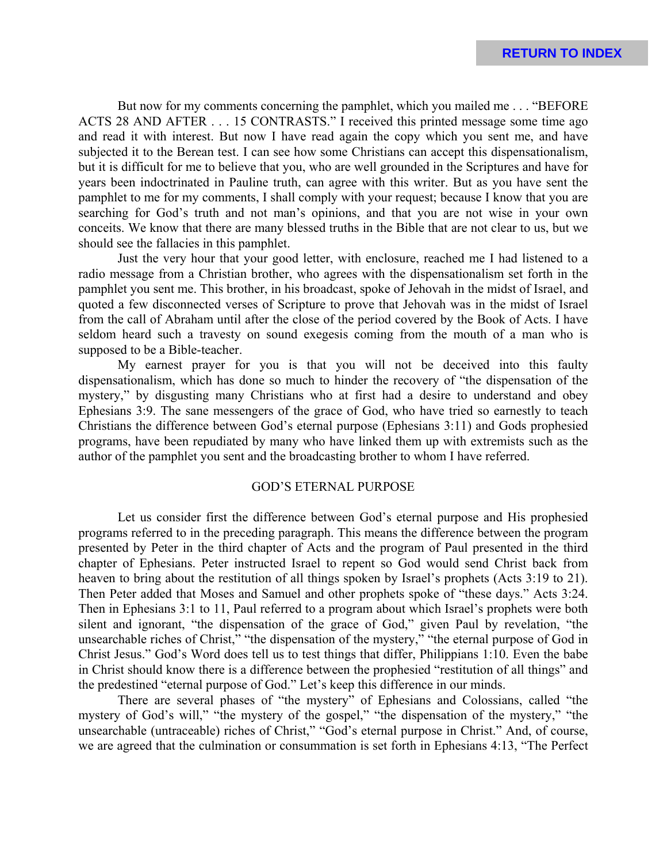But now for my comments concerning the pamphlet, which you mailed me . . . "BEFORE ACTS 28 AND AFTER . . . 15 CONTRASTS." I received this printed message some time ago and read it with interest. But now I have read again the copy which you sent me, and have subjected it to the Berean test. I can see how some Christians can accept this dispensationalism, but it is difficult for me to believe that you, who are well grounded in the Scriptures and have for years been indoctrinated in Pauline truth, can agree with this writer. But as you have sent the pamphlet to me for my comments, I shall comply with your request; because I know that you are searching for God's truth and not man's opinions, and that you are not wise in your own conceits. We know that there are many blessed truths in the Bible that are not clear to us, but we should see the fallacies in this pamphlet.

Just the very hour that your good letter, with enclosure, reached me I had listened to a radio message from a Christian brother, who agrees with the dispensationalism set forth in the pamphlet you sent me. This brother, in his broadcast, spoke of Jehovah in the midst of Israel, and quoted a few disconnected verses of Scripture to prove that Jehovah was in the midst of Israel from the call of Abraham until after the close of the period covered by the Book of Acts. I have seldom heard such a travesty on sound exegesis coming from the mouth of a man who is supposed to be a Bible-teacher.

My earnest prayer for you is that you will not be deceived into this faulty dispensationalism, which has done so much to hinder the recovery of "the dispensation of the mystery," by disgusting many Christians who at first had a desire to understand and obey Ephesians 3:9. The sane messengers of the grace of God, who have tried so earnestly to teach Christians the difference between God's eternal purpose (Ephesians 3:11) and Gods prophesied programs, have been repudiated by many who have linked them up with extremists such as the author of the pamphlet you sent and the broadcasting brother to whom I have referred.

#### GOD'S ETERNAL PURPOSE

Let us consider first the difference between God's eternal purpose and His prophesied programs referred to in the preceding paragraph. This means the difference between the program presented by Peter in the third chapter of Acts and the program of Paul presented in the third chapter of Ephesians. Peter instructed Israel to repent so God would send Christ back from heaven to bring about the restitution of all things spoken by Israel's prophets (Acts 3:19 to 21). Then Peter added that Moses and Samuel and other prophets spoke of "these days." Acts 3:24. Then in Ephesians 3:1 to 11, Paul referred to a program about which Israel's prophets were both silent and ignorant, "the dispensation of the grace of God," given Paul by revelation, "the unsearchable riches of Christ," "the dispensation of the mystery," "the eternal purpose of God in Christ Jesus." God's Word does tell us to test things that differ, Philippians 1:10. Even the babe in Christ should know there is a difference between the prophesied "restitution of all things" and the predestined "eternal purpose of God." Let's keep this difference in our minds.

There are several phases of "the mystery" of Ephesians and Colossians, called "the mystery of God's will," "the mystery of the gospel," "the dispensation of the mystery," "the unsearchable (untraceable) riches of Christ," "God's eternal purpose in Christ." And, of course, we are agreed that the culmination or consummation is set forth in Ephesians 4:13, "The Perfect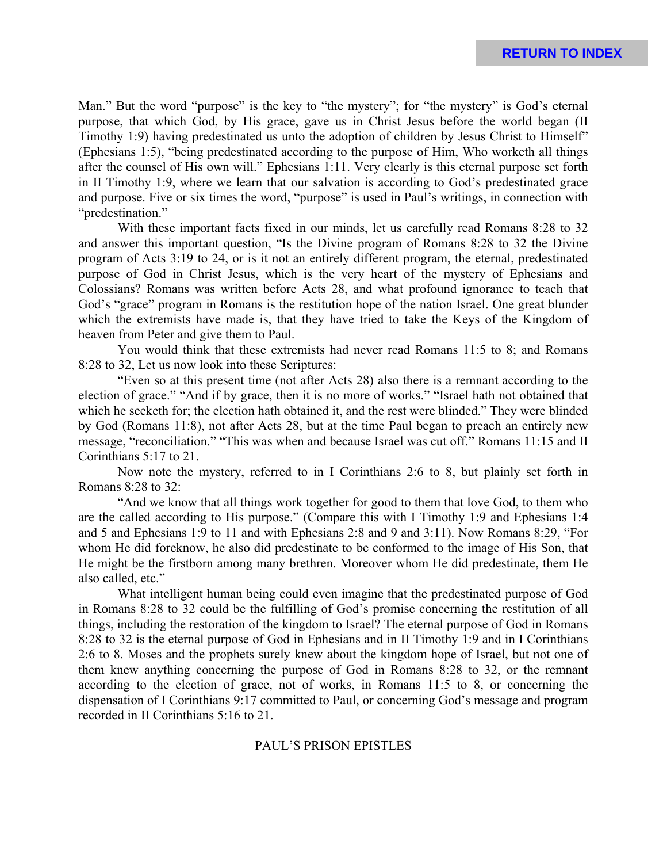Man." But the word "purpose" is the key to "the mystery"; for "the mystery" is God's eternal purpose, that which God, by His grace, gave us in Christ Jesus before the world began (II Timothy 1:9) having predestinated us unto the adoption of children by Jesus Christ to Himself" (Ephesians 1:5), "being predestinated according to the purpose of Him, Who worketh all things after the counsel of His own will." Ephesians 1:11. Very clearly is this eternal purpose set forth in II Timothy 1:9, where we learn that our salvation is according to God's predestinated grace and purpose. Five or six times the word, "purpose" is used in Paul's writings, in connection with "predestination."

With these important facts fixed in our minds, let us carefully read Romans 8:28 to 32 and answer this important question, "Is the Divine program of Romans 8:28 to 32 the Divine program of Acts 3:19 to 24, or is it not an entirely different program, the eternal, predestinated purpose of God in Christ Jesus, which is the very heart of the mystery of Ephesians and Colossians? Romans was written before Acts 28, and what profound ignorance to teach that God's "grace" program in Romans is the restitution hope of the nation Israel. One great blunder which the extremists have made is, that they have tried to take the Keys of the Kingdom of heaven from Peter and give them to Paul.

You would think that these extremists had never read Romans 11:5 to 8; and Romans 8:28 to 32, Let us now look into these Scriptures:

"Even so at this present time (not after Acts 28) also there is a remnant according to the election of grace." "And if by grace, then it is no more of works." "Israel hath not obtained that which he seeketh for; the election hath obtained it, and the rest were blinded." They were blinded by God (Romans 11:8), not after Acts 28, but at the time Paul began to preach an entirely new message, "reconciliation." "This was when and because Israel was cut off." Romans 11:15 and II Corinthians 5:17 to 21.

Now note the mystery, referred to in I Corinthians 2:6 to 8, but plainly set forth in Romans 8:28 to 32:

"And we know that all things work together for good to them that love God, to them who are the called according to His purpose." (Compare this with I Timothy 1:9 and Ephesians 1:4 and 5 and Ephesians 1:9 to 11 and with Ephesians 2:8 and 9 and 3:11). Now Romans 8:29, "For whom He did foreknow, he also did predestinate to be conformed to the image of His Son, that He might be the firstborn among many brethren. Moreover whom He did predestinate, them He also called, etc."

What intelligent human being could even imagine that the predestinated purpose of God in Romans 8:28 to 32 could be the fulfilling of God's promise concerning the restitution of all things, including the restoration of the kingdom to Israel? The eternal purpose of God in Romans 8:28 to 32 is the eternal purpose of God in Ephesians and in II Timothy 1:9 and in I Corinthians 2:6 to 8. Moses and the prophets surely knew about the kingdom hope of Israel, but not one of them knew anything concerning the purpose of God in Romans 8:28 to 32, or the remnant according to the election of grace, not of works, in Romans 11:5 to 8, or concerning the dispensation of I Corinthians 9:17 committed to Paul, or concerning God's message and program recorded in II Corinthians 5:16 to 21.

# PAUL'S PRISON EPISTLES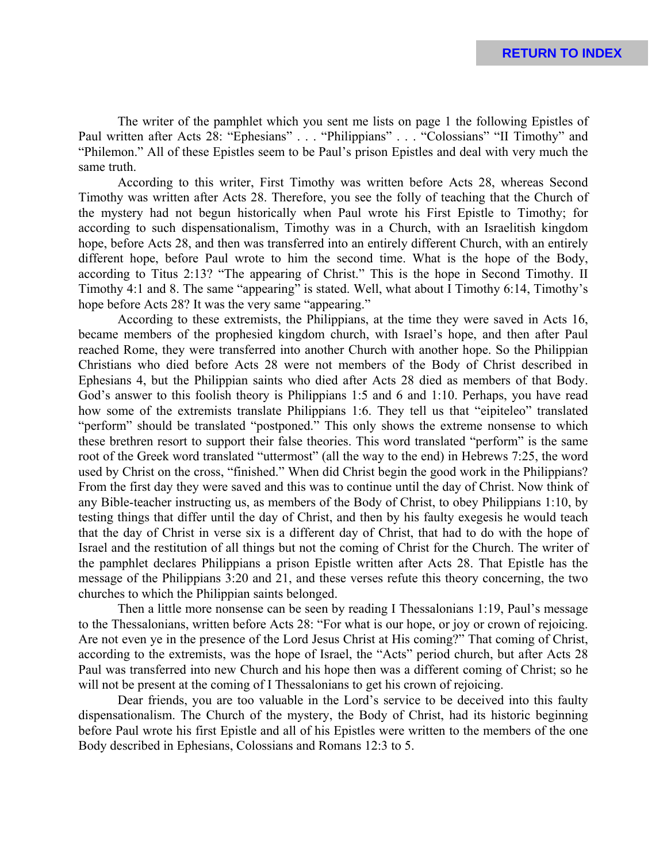The writer of the pamphlet which you sent me lists on page 1 the following Epistles of Paul written after Acts 28: "Ephesians" . . . "Philippians" . . . "Colossians" "II Timothy" and "Philemon." All of these Epistles seem to be Paul's prison Epistles and deal with very much the same truth.

According to this writer, First Timothy was written before Acts 28, whereas Second Timothy was written after Acts 28. Therefore, you see the folly of teaching that the Church of the mystery had not begun historically when Paul wrote his First Epistle to Timothy; for according to such dispensationalism, Timothy was in a Church, with an Israelitish kingdom hope, before Acts 28, and then was transferred into an entirely different Church, with an entirely different hope, before Paul wrote to him the second time. What is the hope of the Body, according to Titus 2:13? "The appearing of Christ." This is the hope in Second Timothy. II Timothy 4:1 and 8. The same "appearing" is stated. Well, what about I Timothy 6:14, Timothy's hope before Acts 28? It was the very same "appearing."

According to these extremists, the Philippians, at the time they were saved in Acts 16, became members of the prophesied kingdom church, with Israel's hope, and then after Paul reached Rome, they were transferred into another Church with another hope. So the Philippian Christians who died before Acts 28 were not members of the Body of Christ described in Ephesians 4, but the Philippian saints who died after Acts 28 died as members of that Body. God's answer to this foolish theory is Philippians 1:5 and 6 and 1:10. Perhaps, you have read how some of the extremists translate Philippians 1:6. They tell us that "eipiteleo" translated "perform" should be translated "postponed." This only shows the extreme nonsense to which these brethren resort to support their false theories. This word translated "perform" is the same root of the Greek word translated "uttermost" (all the way to the end) in Hebrews 7:25, the word used by Christ on the cross, "finished." When did Christ begin the good work in the Philippians? From the first day they were saved and this was to continue until the day of Christ. Now think of any Bible-teacher instructing us, as members of the Body of Christ, to obey Philippians 1:10, by testing things that differ until the day of Christ, and then by his faulty exegesis he would teach that the day of Christ in verse six is a different day of Christ, that had to do with the hope of Israel and the restitution of all things but not the coming of Christ for the Church. The writer of the pamphlet declares Philippians a prison Epistle written after Acts 28. That Epistle has the message of the Philippians 3:20 and 21, and these verses refute this theory concerning, the two churches to which the Philippian saints belonged.

Then a little more nonsense can be seen by reading I Thessalonians 1:19, Paul's message to the Thessalonians, written before Acts 28: "For what is our hope, or joy or crown of rejoicing. Are not even ye in the presence of the Lord Jesus Christ at His coming?" That coming of Christ, according to the extremists, was the hope of Israel, the "Acts" period church, but after Acts 28 Paul was transferred into new Church and his hope then was a different coming of Christ; so he will not be present at the coming of I Thessalonians to get his crown of rejoicing.

Dear friends, you are too valuable in the Lord's service to be deceived into this faulty dispensationalism. The Church of the mystery, the Body of Christ, had its historic beginning before Paul wrote his first Epistle and all of his Epistles were written to the members of the one Body described in Ephesians, Colossians and Romans 12:3 to 5.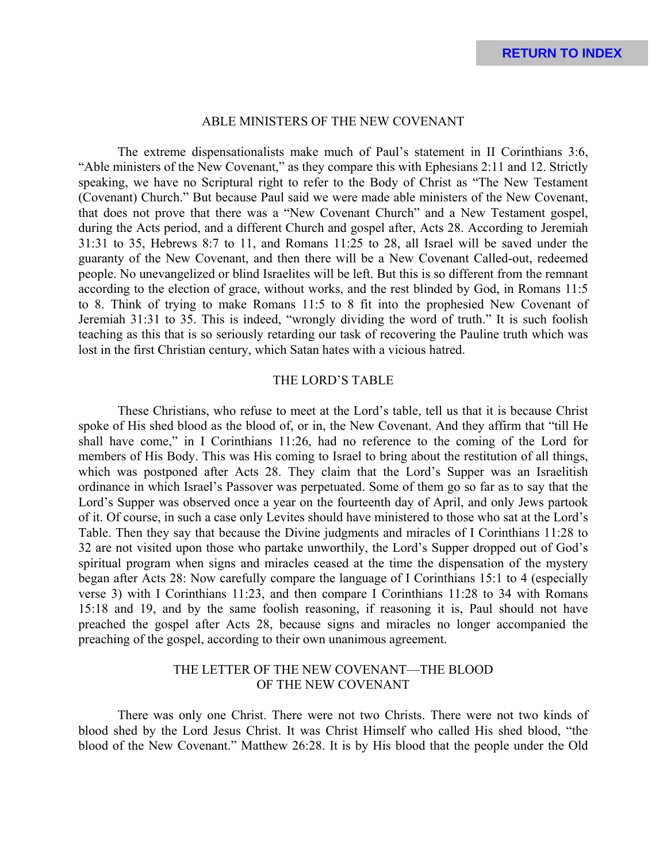#### ABLE MINISTERS OF THE NEW COVENANT

The extreme dispensationalists make much of Paul's statement in II Corinthians 3:6, "Able ministers of the New Covenant," as they compare this with Ephesians 2:11 and 12. Strictly speaking, we have no Scriptural right to refer to the Body of Christ as "The New Testament (Covenant) Church." But because Paul said we were made able ministers of the New Covenant, that does not prove that there was a "New Covenant Church" and a New Testament gospel, during the Acts period, and a different Church and gospel after, Acts 28. According to Jeremiah 31:31 to 35, Hebrews 8:7 to 11, and Romans 11:25 to 28, all Israel will be saved under the guaranty of the New Covenant, and then there will be a New Covenant Called-out, redeemed people. No unevangelized or blind Israelites will be left. But this is so different from the remnant according to the election of grace, without works, and the rest blinded by God, in Romans 11:5 to 8. Think of trying to make Romans 11:5 to 8 fit into the prophesied New Covenant of Jeremiah 31:31 to 35. This is indeed, "wrongly dividing the word of truth." It is such foolish teaching as this that is so seriously retarding our task of recovering the Pauline truth which was lost in the first Christian century, which Satan hates with a vicious hatred.

## THE LORD'S TABLE

These Christians, who refuse to meet at the Lord's table, tell us that it is because Christ spoke of His shed blood as the blood of, or in, the New Covenant. And they affirm that "till He shall have come," in I Corinthians 11:26, had no reference to the coming of the Lord for members of His Body. This was His coming to Israel to bring about the restitution of all things, which was postponed after Acts 28. They claim that the Lord's Supper was an Israelitish ordinance in which Israel's Passover was perpetuated. Some of them go so far as to say that the Lord's Supper was observed once a year on the fourteenth day of April, and only Jews partook of it. Of course, in such a case only Levites should have ministered to those who sat at the Lord's Table. Then they say that because the Divine judgments and miracles of I Corinthians 11:28 to 32 are not visited upon those who partake unworthily, the Lord's Supper dropped out of God's spiritual program when signs and miracles ceased at the time the dispensation of the mystery began after Acts 28: Now carefully compare the language of I Corinthians 15:1 to 4 (especially verse 3) with I Corinthians 11:23, and then compare I Corinthians 11:28 to 34 with Romans 15:18 and 19, and by the same foolish reasoning, if reasoning it is, Paul should not have preached the gospel after Acts 28, because signs and miracles no longer accompanied the preaching of the gospel, according to their own unanimous agreement.

# THE LETTER OF THE NEW COVENANT—THE BLOOD OF THE NEW COVENANT

There was only one Christ. There were not two Christs. There were not two kinds of blood shed by the Lord Jesus Christ. It was Christ Himself who called His shed blood, "the blood of the New Covenant." Matthew 26:28. It is by His blood that the people under the Old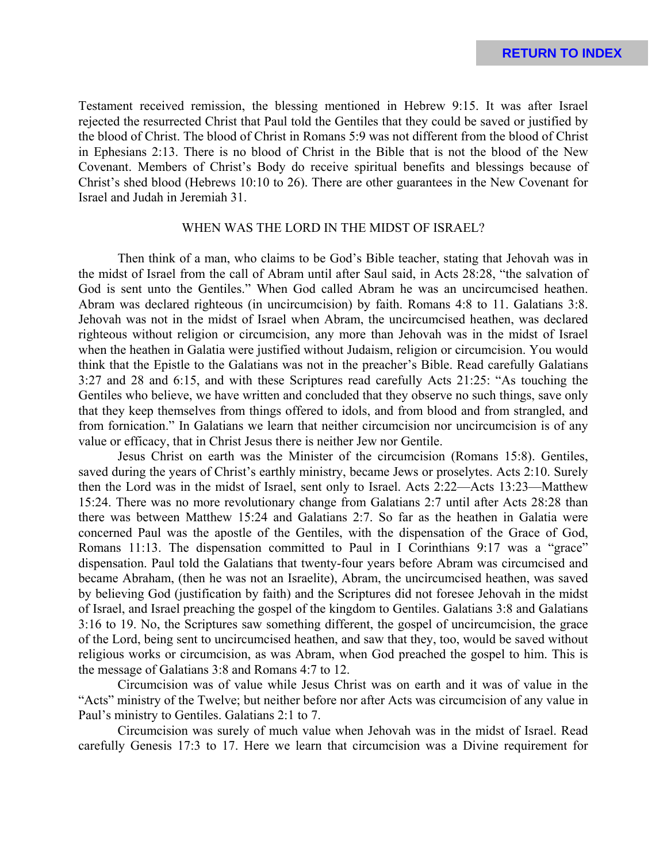Testament received remission, the blessing mentioned in Hebrew 9:15. It was after Israel rejected the resurrected Christ that Paul told the Gentiles that they could be saved or justified by the blood of Christ. The blood of Christ in Romans 5:9 was not different from the blood of Christ in Ephesians 2:13. There is no blood of Christ in the Bible that is not the blood of the New Covenant. Members of Christ's Body do receive spiritual benefits and blessings because of Christ's shed blood (Hebrews 10:10 to 26). There are other guarantees in the New Covenant for Israel and Judah in Jeremiah 31.

# WHEN WAS THE LORD IN THE MIDST OF ISRAEL?

Then think of a man, who claims to be God's Bible teacher, stating that Jehovah was in the midst of Israel from the call of Abram until after Saul said, in Acts 28:28, "the salvation of God is sent unto the Gentiles." When God called Abram he was an uncircumcised heathen. Abram was declared righteous (in uncircumcision) by faith. Romans 4:8 to 11. Galatians 3:8. Jehovah was not in the midst of Israel when Abram, the uncircumcised heathen, was declared righteous without religion or circumcision, any more than Jehovah was in the midst of Israel when the heathen in Galatia were justified without Judaism, religion or circumcision. You would think that the Epistle to the Galatians was not in the preacher's Bible. Read carefully Galatians 3:27 and 28 and 6:15, and with these Scriptures read carefully Acts 21:25: "As touching the Gentiles who believe, we have written and concluded that they observe no such things, save only that they keep themselves from things offered to idols, and from blood and from strangled, and from fornication." In Galatians we learn that neither circumcision nor uncircumcision is of any value or efficacy, that in Christ Jesus there is neither Jew nor Gentile.

Jesus Christ on earth was the Minister of the circumcision (Romans 15:8). Gentiles, saved during the years of Christ's earthly ministry, became Jews or proselytes. Acts 2:10. Surely then the Lord was in the midst of Israel, sent only to Israel. Acts 2:22—Acts 13:23—Matthew 15:24. There was no more revolutionary change from Galatians 2:7 until after Acts 28:28 than there was between Matthew 15:24 and Galatians 2:7. So far as the heathen in Galatia were concerned Paul was the apostle of the Gentiles, with the dispensation of the Grace of God, Romans 11:13. The dispensation committed to Paul in I Corinthians 9:17 was a "grace" dispensation. Paul told the Galatians that twenty-four years before Abram was circumcised and became Abraham, (then he was not an Israelite), Abram, the uncircumcised heathen, was saved by believing God (justification by faith) and the Scriptures did not foresee Jehovah in the midst of Israel, and Israel preaching the gospel of the kingdom to Gentiles. Galatians 3:8 and Galatians 3:16 to 19. No, the Scriptures saw something different, the gospel of uncircumcision, the grace of the Lord, being sent to uncircumcised heathen, and saw that they, too, would be saved without religious works or circumcision, as was Abram, when God preached the gospel to him. This is the message of Galatians 3:8 and Romans 4:7 to 12.

Circumcision was of value while Jesus Christ was on earth and it was of value in the "Acts" ministry of the Twelve; but neither before nor after Acts was circumcision of any value in Paul's ministry to Gentiles. Galatians 2:1 to 7.

Circumcision was surely of much value when Jehovah was in the midst of Israel. Read carefully Genesis 17:3 to 17. Here we learn that circumcision was a Divine requirement for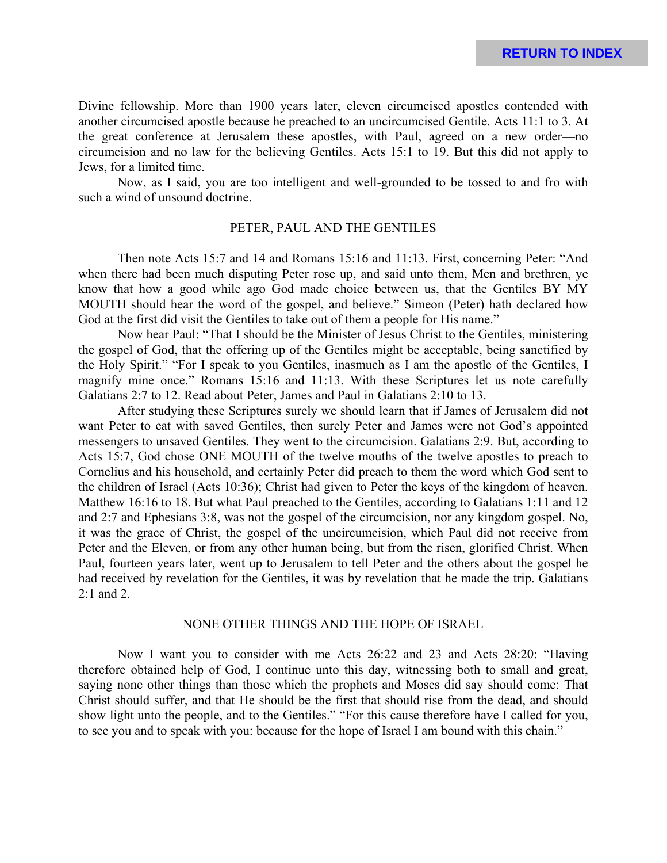Divine fellowship. More than 1900 years later, eleven circumcised apostles contended with another circumcised apostle because he preached to an uncircumcised Gentile. Acts 11:1 to 3. At the great conference at Jerusalem these apostles, with Paul, agreed on a new order—no circumcision and no law for the believing Gentiles. Acts 15:1 to 19. But this did not apply to Jews, for a limited time.

Now, as I said, you are too intelligent and well-grounded to be tossed to and fro with such a wind of unsound doctrine.

## PETER, PAUL AND THE GENTILES

Then note Acts 15:7 and 14 and Romans 15:16 and 11:13. First, concerning Peter: "And when there had been much disputing Peter rose up, and said unto them, Men and brethren, ye know that how a good while ago God made choice between us, that the Gentiles BY MY MOUTH should hear the word of the gospel, and believe." Simeon (Peter) hath declared how God at the first did visit the Gentiles to take out of them a people for His name."

Now hear Paul: "That I should be the Minister of Jesus Christ to the Gentiles, ministering the gospel of God, that the offering up of the Gentiles might be acceptable, being sanctified by the Holy Spirit." "For I speak to you Gentiles, inasmuch as I am the apostle of the Gentiles, I magnify mine once." Romans 15:16 and 11:13. With these Scriptures let us note carefully Galatians 2:7 to 12. Read about Peter, James and Paul in Galatians 2:10 to 13.

After studying these Scriptures surely we should learn that if James of Jerusalem did not want Peter to eat with saved Gentiles, then surely Peter and James were not God's appointed messengers to unsaved Gentiles. They went to the circumcision. Galatians 2:9. But, according to Acts 15:7, God chose ONE MOUTH of the twelve mouths of the twelve apostles to preach to Cornelius and his household, and certainly Peter did preach to them the word which God sent to the children of Israel (Acts 10:36); Christ had given to Peter the keys of the kingdom of heaven. Matthew 16:16 to 18. But what Paul preached to the Gentiles, according to Galatians 1:11 and 12 and 2:7 and Ephesians 3:8, was not the gospel of the circumcision, nor any kingdom gospel. No, it was the grace of Christ, the gospel of the uncircumcision, which Paul did not receive from Peter and the Eleven, or from any other human being, but from the risen, glorified Christ. When Paul, fourteen years later, went up to Jerusalem to tell Peter and the others about the gospel he had received by revelation for the Gentiles, it was by revelation that he made the trip. Galatians 2:1 and 2.

## NONE OTHER THINGS AND THE HOPE OF ISRAEL

Now I want you to consider with me Acts 26:22 and 23 and Acts 28:20: "Having therefore obtained help of God, I continue unto this day, witnessing both to small and great, saying none other things than those which the prophets and Moses did say should come: That Christ should suffer, and that He should be the first that should rise from the dead, and should show light unto the people, and to the Gentiles." "For this cause therefore have I called for you, to see you and to speak with you: because for the hope of Israel I am bound with this chain."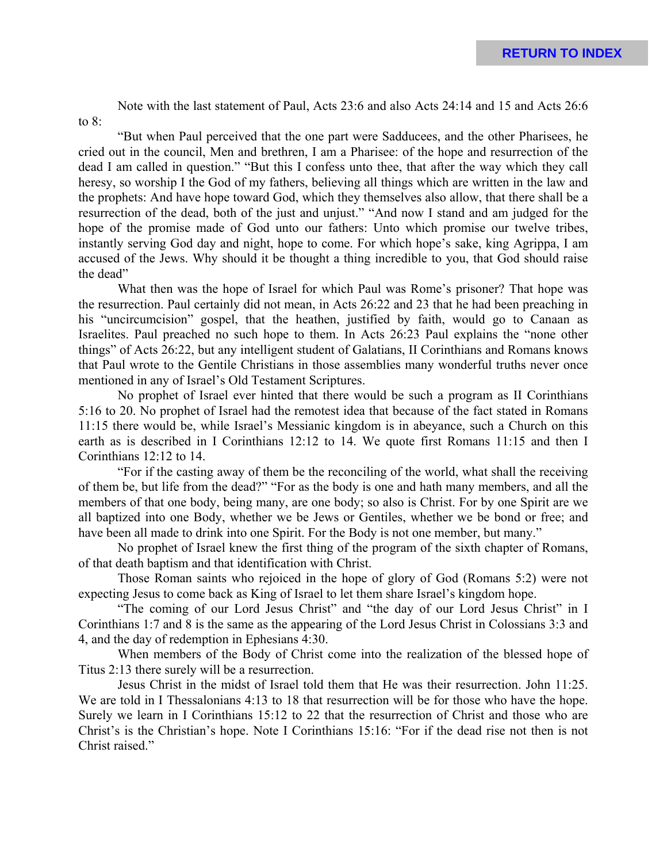Note with the last statement of Paul, Acts 23:6 and also Acts 24:14 and 15 and Acts 26:6

"But when Paul perceived that the one part were Sadducees, and the other Pharisees, he cried out in the council, Men and brethren, I am a Pharisee: of the hope and resurrection of the dead I am called in question." "But this I confess unto thee, that after the way which they call heresy, so worship I the God of my fathers, believing all things which are written in the law and the prophets: And have hope toward God, which they themselves also allow, that there shall be a resurrection of the dead, both of the just and unjust." "And now I stand and am judged for the hope of the promise made of God unto our fathers: Unto which promise our twelve tribes, instantly serving God day and night, hope to come. For which hope's sake, king Agrippa, I am accused of the Jews. Why should it be thought a thing incredible to you, that God should raise the dead"

to 8:

What then was the hope of Israel for which Paul was Rome's prisoner? That hope was the resurrection. Paul certainly did not mean, in Acts 26:22 and 23 that he had been preaching in his "uncircumcision" gospel, that the heathen, justified by faith, would go to Canaan as Israelites. Paul preached no such hope to them. In Acts 26:23 Paul explains the "none other things" of Acts 26:22, but any intelligent student of Galatians, II Corinthians and Romans knows that Paul wrote to the Gentile Christians in those assemblies many wonderful truths never once mentioned in any of Israel's Old Testament Scriptures.

No prophet of Israel ever hinted that there would be such a program as II Corinthians 5:16 to 20. No prophet of Israel had the remotest idea that because of the fact stated in Romans 11:15 there would be, while Israel's Messianic kingdom is in abeyance, such a Church on this earth as is described in I Corinthians 12:12 to 14. We quote first Romans 11:15 and then I Corinthians 12:12 to 14.

"For if the casting away of them be the reconciling of the world, what shall the receiving of them be, but life from the dead?" "For as the body is one and hath many members, and all the members of that one body, being many, are one body; so also is Christ. For by one Spirit are we all baptized into one Body, whether we be Jews or Gentiles, whether we be bond or free; and have been all made to drink into one Spirit. For the Body is not one member, but many."

No prophet of Israel knew the first thing of the program of the sixth chapter of Romans, of that death baptism and that identification with Christ.

Those Roman saints who rejoiced in the hope of glory of God (Romans 5:2) were not expecting Jesus to come back as King of Israel to let them share Israel's kingdom hope.

"The coming of our Lord Jesus Christ" and "the day of our Lord Jesus Christ" in I Corinthians 1:7 and 8 is the same as the appearing of the Lord Jesus Christ in Colossians 3:3 and 4, and the day of redemption in Ephesians 4:30.

When members of the Body of Christ come into the realization of the blessed hope of Titus 2:13 there surely will be a resurrection.

Jesus Christ in the midst of Israel told them that He was their resurrection. John 11:25. We are told in I Thessalonians 4:13 to 18 that resurrection will be for those who have the hope. Surely we learn in I Corinthians 15:12 to 22 that the resurrection of Christ and those who are Christ's is the Christian's hope. Note I Corinthians 15:16: "For if the dead rise not then is not Christ raised."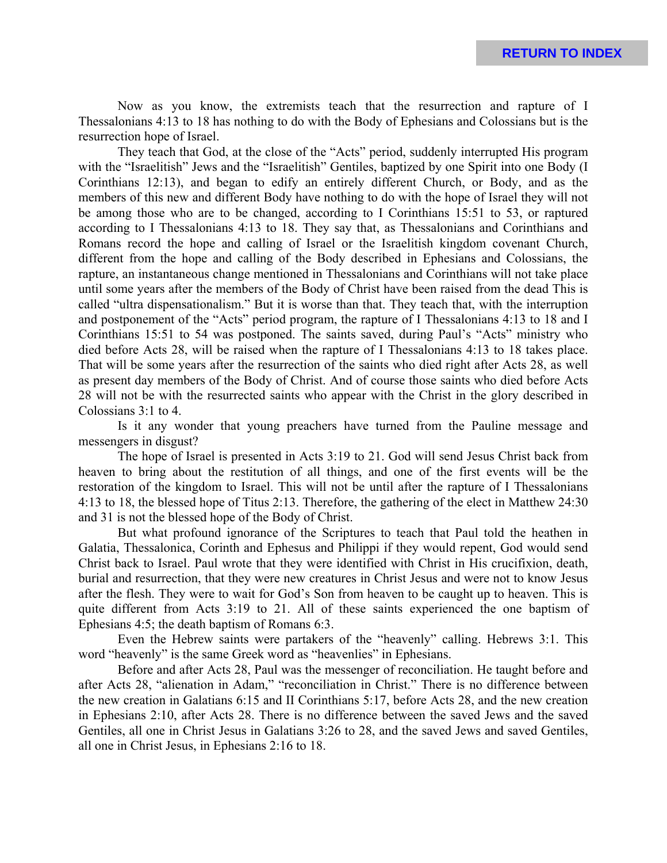Now as you know, the extremists teach that the resurrection and rapture of I Thessalonians 4:13 to 18 has nothing to do with the Body of Ephesians and Colossians but is the resurrection hope of Israel.

They teach that God, at the close of the "Acts" period, suddenly interrupted His program with the "Israelitish" Jews and the "Israelitish" Gentiles, baptized by one Spirit into one Body (I Corinthians 12:13), and began to edify an entirely different Church, or Body, and as the members of this new and different Body have nothing to do with the hope of Israel they will not be among those who are to be changed, according to I Corinthians 15:51 to 53, or raptured according to I Thessalonians 4:13 to 18. They say that, as Thessalonians and Corinthians and Romans record the hope and calling of Israel or the Israelitish kingdom covenant Church, different from the hope and calling of the Body described in Ephesians and Colossians, the rapture, an instantaneous change mentioned in Thessalonians and Corinthians will not take place until some years after the members of the Body of Christ have been raised from the dead This is called "ultra dispensationalism." But it is worse than that. They teach that, with the interruption and postponement of the "Acts" period program, the rapture of I Thessalonians 4:13 to 18 and I Corinthians 15:51 to 54 was postponed. The saints saved, during Paul's "Acts" ministry who died before Acts 28, will be raised when the rapture of I Thessalonians 4:13 to 18 takes place. That will be some years after the resurrection of the saints who died right after Acts 28, as well as present day members of the Body of Christ. And of course those saints who died before Acts 28 will not be with the resurrected saints who appear with the Christ in the glory described in Colossians 3:1 to 4.

Is it any wonder that young preachers have turned from the Pauline message and messengers in disgust?

The hope of Israel is presented in Acts 3:19 to 21. God will send Jesus Christ back from heaven to bring about the restitution of all things, and one of the first events will be the restoration of the kingdom to Israel. This will not be until after the rapture of I Thessalonians 4:13 to 18, the blessed hope of Titus 2:13. Therefore, the gathering of the elect in Matthew 24:30 and 31 is not the blessed hope of the Body of Christ.

But what profound ignorance of the Scriptures to teach that Paul told the heathen in Galatia, Thessalonica, Corinth and Ephesus and Philippi if they would repent, God would send Christ back to Israel. Paul wrote that they were identified with Christ in His crucifixion, death, burial and resurrection, that they were new creatures in Christ Jesus and were not to know Jesus after the flesh. They were to wait for God's Son from heaven to be caught up to heaven. This is quite different from Acts 3:19 to 21. All of these saints experienced the one baptism of Ephesians 4:5; the death baptism of Romans 6:3.

Even the Hebrew saints were partakers of the "heavenly" calling. Hebrews 3:1. This word "heavenly" is the same Greek word as "heavenlies" in Ephesians.

Before and after Acts 28, Paul was the messenger of reconciliation. He taught before and after Acts 28, "alienation in Adam," "reconciliation in Christ." There is no difference between the new creation in Galatians 6:15 and II Corinthians 5:17, before Acts 28, and the new creation in Ephesians 2:10, after Acts 28. There is no difference between the saved Jews and the saved Gentiles, all one in Christ Jesus in Galatians 3:26 to 28, and the saved Jews and saved Gentiles, all one in Christ Jesus, in Ephesians 2:16 to 18.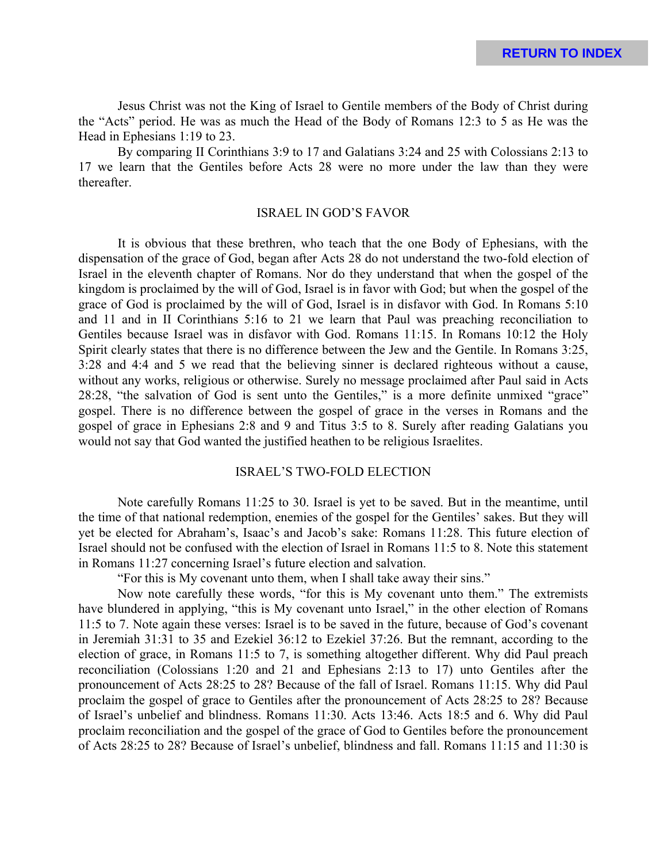Jesus Christ was not the King of Israel to Gentile members of the Body of Christ during the "Acts" period. He was as much the Head of the Body of Romans 12:3 to 5 as He was the Head in Ephesians 1:19 to 23.

By comparing II Corinthians 3:9 to 17 and Galatians 3:24 and 25 with Colossians 2:13 to 17 we learn that the Gentiles before Acts 28 were no more under the law than they were thereafter.

## ISRAEL IN GOD'S FAVOR

It is obvious that these brethren, who teach that the one Body of Ephesians, with the dispensation of the grace of God, began after Acts 28 do not understand the two-fold election of Israel in the eleventh chapter of Romans. Nor do they understand that when the gospel of the kingdom is proclaimed by the will of God, Israel is in favor with God; but when the gospel of the grace of God is proclaimed by the will of God, Israel is in disfavor with God. In Romans 5:10 and 11 and in II Corinthians 5:16 to 21 we learn that Paul was preaching reconciliation to Gentiles because Israel was in disfavor with God. Romans 11:15. In Romans 10:12 the Holy Spirit clearly states that there is no difference between the Jew and the Gentile. In Romans 3:25, 3:28 and 4:4 and 5 we read that the believing sinner is declared righteous without a cause, without any works, religious or otherwise. Surely no message proclaimed after Paul said in Acts 28:28, "the salvation of God is sent unto the Gentiles," is a more definite unmixed "grace" gospel. There is no difference between the gospel of grace in the verses in Romans and the gospel of grace in Ephesians 2:8 and 9 and Titus 3:5 to 8. Surely after reading Galatians you would not say that God wanted the justified heathen to be religious Israelites.

### ISRAEL'S TWO-FOLD ELECTION

Note carefully Romans 11:25 to 30. Israel is yet to be saved. But in the meantime, until the time of that national redemption, enemies of the gospel for the Gentiles' sakes. But they will yet be elected for Abraham's, Isaac's and Jacob's sake: Romans 11:28. This future election of Israel should not be confused with the election of Israel in Romans 11:5 to 8. Note this statement in Romans 11:27 concerning Israel's future election and salvation.

"For this is My covenant unto them, when I shall take away their sins."

Now note carefully these words, "for this is My covenant unto them." The extremists have blundered in applying, "this is My covenant unto Israel," in the other election of Romans 11:5 to 7. Note again these verses: Israel is to be saved in the future, because of God's covenant in Jeremiah 31:31 to 35 and Ezekiel 36:12 to Ezekiel 37:26. But the remnant, according to the election of grace, in Romans 11:5 to 7, is something altogether different. Why did Paul preach reconciliation (Colossians 1:20 and 21 and Ephesians 2:13 to 17) unto Gentiles after the pronouncement of Acts 28:25 to 28? Because of the fall of Israel. Romans 11:15. Why did Paul proclaim the gospel of grace to Gentiles after the pronouncement of Acts 28:25 to 28? Because of Israel's unbelief and blindness. Romans 11:30. Acts 13:46. Acts 18:5 and 6. Why did Paul proclaim reconciliation and the gospel of the grace of God to Gentiles before the pronouncement of Acts 28:25 to 28? Because of Israel's unbelief, blindness and fall. Romans 11:15 and 11:30 is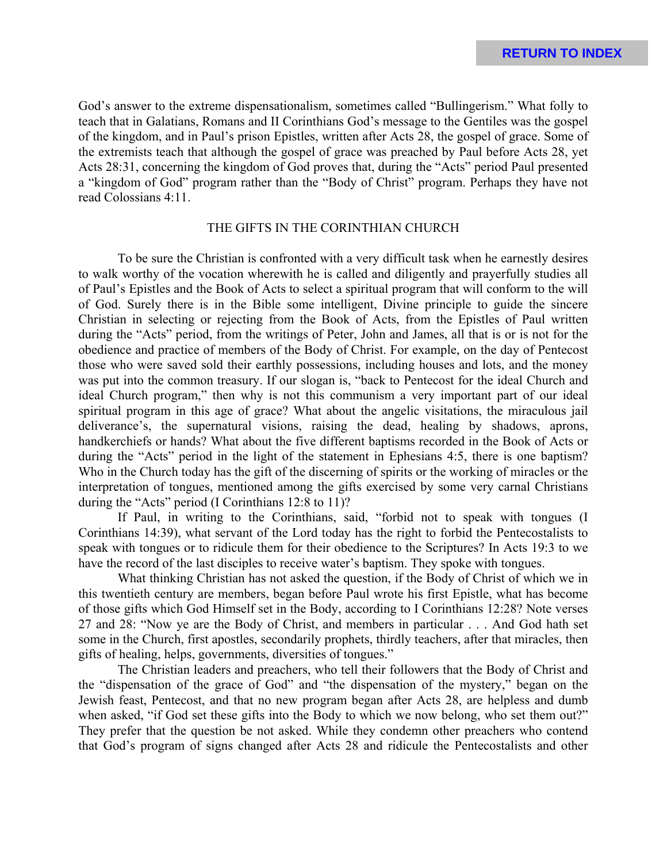God's answer to the extreme dispensationalism, sometimes called "Bullingerism." What folly to teach that in Galatians, Romans and II Corinthians God's message to the Gentiles was the gospel of the kingdom, and in Paul's prison Epistles, written after Acts 28, the gospel of grace. Some of the extremists teach that although the gospel of grace was preached by Paul before Acts 28, yet Acts 28:31, concerning the kingdom of God proves that, during the "Acts" period Paul presented a "kingdom of God" program rather than the "Body of Christ" program. Perhaps they have not read Colossians 4:11.

## THE GIFTS IN THE CORINTHIAN CHURCH

To be sure the Christian is confronted with a very difficult task when he earnestly desires to walk worthy of the vocation wherewith he is called and diligently and prayerfully studies all of Paul's Epistles and the Book of Acts to select a spiritual program that will conform to the will of God. Surely there is in the Bible some intelligent, Divine principle to guide the sincere Christian in selecting or rejecting from the Book of Acts, from the Epistles of Paul written during the "Acts" period, from the writings of Peter, John and James, all that is or is not for the obedience and practice of members of the Body of Christ. For example, on the day of Pentecost those who were saved sold their earthly possessions, including houses and lots, and the money was put into the common treasury. If our slogan is, "back to Pentecost for the ideal Church and ideal Church program," then why is not this communism a very important part of our ideal spiritual program in this age of grace? What about the angelic visitations, the miraculous jail deliverance's, the supernatural visions, raising the dead, healing by shadows, aprons, handkerchiefs or hands? What about the five different baptisms recorded in the Book of Acts or during the "Acts" period in the light of the statement in Ephesians 4:5, there is one baptism? Who in the Church today has the gift of the discerning of spirits or the working of miracles or the interpretation of tongues, mentioned among the gifts exercised by some very carnal Christians during the "Acts" period (I Corinthians 12:8 to 11)?

If Paul, in writing to the Corinthians, said, "forbid not to speak with tongues (I Corinthians 14:39), what servant of the Lord today has the right to forbid the Pentecostalists to speak with tongues or to ridicule them for their obedience to the Scriptures? In Acts 19:3 to we have the record of the last disciples to receive water's baptism. They spoke with tongues.

What thinking Christian has not asked the question, if the Body of Christ of which we in this twentieth century are members, began before Paul wrote his first Epistle, what has become of those gifts which God Himself set in the Body, according to I Corinthians 12:28? Note verses 27 and 28: "Now ye are the Body of Christ, and members in particular . . . And God hath set some in the Church, first apostles, secondarily prophets, thirdly teachers, after that miracles, then gifts of healing, helps, governments, diversities of tongues."

The Christian leaders and preachers, who tell their followers that the Body of Christ and the "dispensation of the grace of God" and "the dispensation of the mystery," began on the Jewish feast, Pentecost, and that no new program began after Acts 28, are helpless and dumb when asked, "if God set these gifts into the Body to which we now belong, who set them out?" They prefer that the question be not asked. While they condemn other preachers who contend that God's program of signs changed after Acts 28 and ridicule the Pentecostalists and other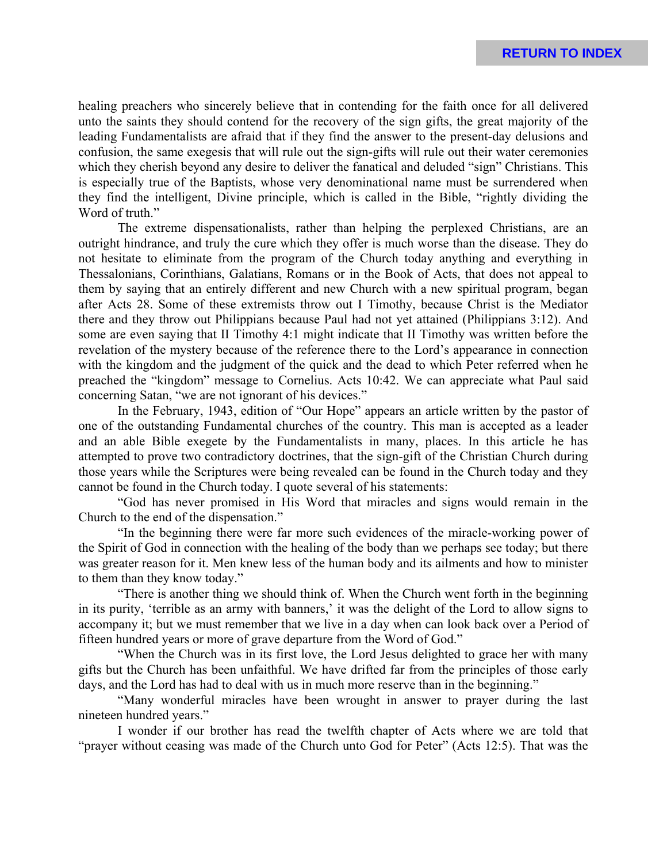healing preachers who sincerely believe that in contending for the faith once for all delivered unto the saints they should contend for the recovery of the sign gifts, the great majority of the leading Fundamentalists are afraid that if they find the answer to the present-day delusions and confusion, the same exegesis that will rule out the sign-gifts will rule out their water ceremonies which they cherish beyond any desire to deliver the fanatical and deluded "sign" Christians. This is especially true of the Baptists, whose very denominational name must be surrendered when they find the intelligent, Divine principle, which is called in the Bible, "rightly dividing the Word of truth."

The extreme dispensationalists, rather than helping the perplexed Christians, are an outright hindrance, and truly the cure which they offer is much worse than the disease. They do not hesitate to eliminate from the program of the Church today anything and everything in Thessalonians, Corinthians, Galatians, Romans or in the Book of Acts, that does not appeal to them by saying that an entirely different and new Church with a new spiritual program, began after Acts 28. Some of these extremists throw out I Timothy, because Christ is the Mediator there and they throw out Philippians because Paul had not yet attained (Philippians 3:12). And some are even saying that II Timothy 4:1 might indicate that II Timothy was written before the revelation of the mystery because of the reference there to the Lord's appearance in connection with the kingdom and the judgment of the quick and the dead to which Peter referred when he preached the "kingdom" message to Cornelius. Acts 10:42. We can appreciate what Paul said concerning Satan, "we are not ignorant of his devices."

In the February, 1943, edition of "Our Hope" appears an article written by the pastor of one of the outstanding Fundamental churches of the country. This man is accepted as a leader and an able Bible exegete by the Fundamentalists in many, places. In this article he has attempted to prove two contradictory doctrines, that the sign-gift of the Christian Church during those years while the Scriptures were being revealed can be found in the Church today and they cannot be found in the Church today. I quote several of his statements:

"God has never promised in His Word that miracles and signs would remain in the Church to the end of the dispensation."

"In the beginning there were far more such evidences of the miracle-working power of the Spirit of God in connection with the healing of the body than we perhaps see today; but there was greater reason for it. Men knew less of the human body and its ailments and how to minister to them than they know today."

"There is another thing we should think of. When the Church went forth in the beginning in its purity, 'terrible as an army with banners,' it was the delight of the Lord to allow signs to accompany it; but we must remember that we live in a day when can look back over a Period of fifteen hundred years or more of grave departure from the Word of God."

"When the Church was in its first love, the Lord Jesus delighted to grace her with many gifts but the Church has been unfaithful. We have drifted far from the principles of those early days, and the Lord has had to deal with us in much more reserve than in the beginning."

"Many wonderful miracles have been wrought in answer to prayer during the last nineteen hundred years."

I wonder if our brother has read the twelfth chapter of Acts where we are told that "prayer without ceasing was made of the Church unto God for Peter" (Acts 12:5). That was the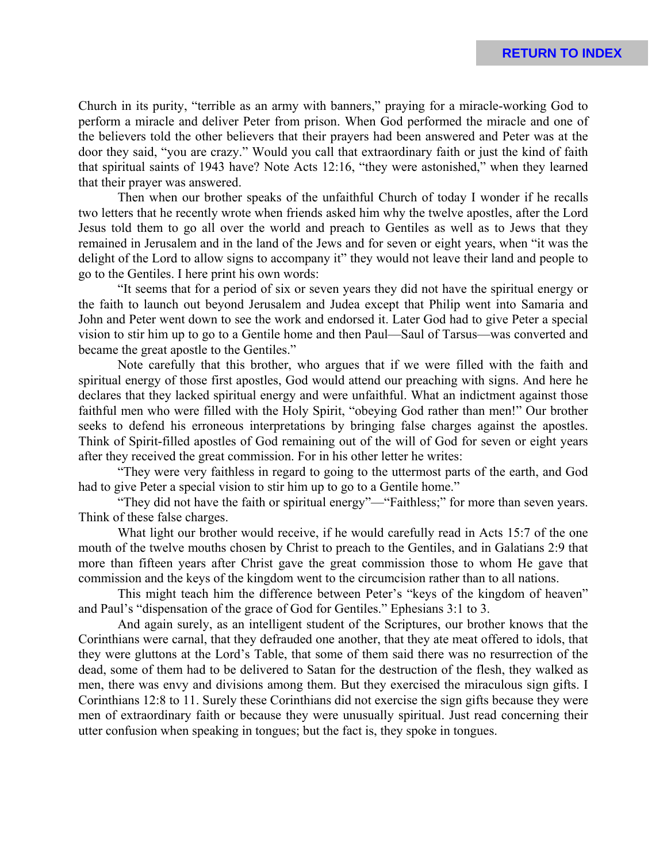Church in its purity, "terrible as an army with banners," praying for a miracle-working God to perform a miracle and deliver Peter from prison. When God performed the miracle and one of the believers told the other believers that their prayers had been answered and Peter was at the door they said, "you are crazy." Would you call that extraordinary faith or just the kind of faith that spiritual saints of 1943 have? Note Acts 12:16, "they were astonished," when they learned that their prayer was answered.

Then when our brother speaks of the unfaithful Church of today I wonder if he recalls two letters that he recently wrote when friends asked him why the twelve apostles, after the Lord Jesus told them to go all over the world and preach to Gentiles as well as to Jews that they remained in Jerusalem and in the land of the Jews and for seven or eight years, when "it was the delight of the Lord to allow signs to accompany it" they would not leave their land and people to go to the Gentiles. I here print his own words:

"It seems that for a period of six or seven years they did not have the spiritual energy or the faith to launch out beyond Jerusalem and Judea except that Philip went into Samaria and John and Peter went down to see the work and endorsed it. Later God had to give Peter a special vision to stir him up to go to a Gentile home and then Paul—Saul of Tarsus—was converted and became the great apostle to the Gentiles."

Note carefully that this brother, who argues that if we were filled with the faith and spiritual energy of those first apostles, God would attend our preaching with signs. And here he declares that they lacked spiritual energy and were unfaithful. What an indictment against those faithful men who were filled with the Holy Spirit, "obeying God rather than men!" Our brother seeks to defend his erroneous interpretations by bringing false charges against the apostles. Think of Spirit-filled apostles of God remaining out of the will of God for seven or eight years after they received the great commission. For in his other letter he writes:

"They were very faithless in regard to going to the uttermost parts of the earth, and God had to give Peter a special vision to stir him up to go to a Gentile home."

"They did not have the faith or spiritual energy"—"Faithless;" for more than seven years. Think of these false charges.

What light our brother would receive, if he would carefully read in Acts 15:7 of the one mouth of the twelve mouths chosen by Christ to preach to the Gentiles, and in Galatians 2:9 that more than fifteen years after Christ gave the great commission those to whom He gave that commission and the keys of the kingdom went to the circumcision rather than to all nations.

This might teach him the difference between Peter's "keys of the kingdom of heaven" and Paul's "dispensation of the grace of God for Gentiles." Ephesians 3:1 to 3.

And again surely, as an intelligent student of the Scriptures, our brother knows that the Corinthians were carnal, that they defrauded one another, that they ate meat offered to idols, that they were gluttons at the Lord's Table, that some of them said there was no resurrection of the dead, some of them had to be delivered to Satan for the destruction of the flesh, they walked as men, there was envy and divisions among them. But they exercised the miraculous sign gifts. I Corinthians 12:8 to 11. Surely these Corinthians did not exercise the sign gifts because they were men of extraordinary faith or because they were unusually spiritual. Just read concerning their utter confusion when speaking in tongues; but the fact is, they spoke in tongues.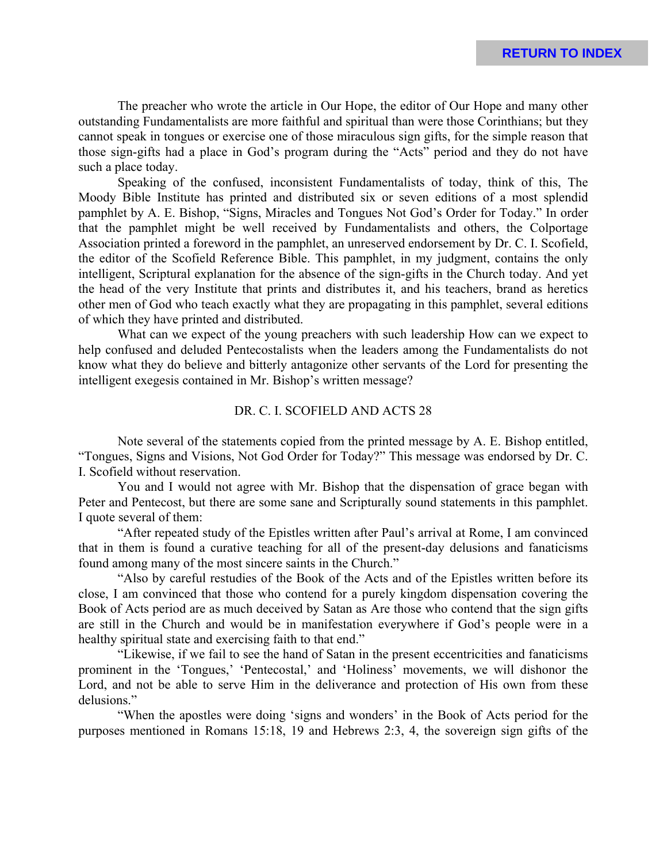The preacher who wrote the article in Our Hope, the editor of Our Hope and many other outstanding Fundamentalists are more faithful and spiritual than were those Corinthians; but they cannot speak in tongues or exercise one of those miraculous sign gifts, for the simple reason that those sign-gifts had a place in God's program during the "Acts" period and they do not have such a place today.

Speaking of the confused, inconsistent Fundamentalists of today, think of this, The Moody Bible Institute has printed and distributed six or seven editions of a most splendid pamphlet by A. E. Bishop, "Signs, Miracles and Tongues Not God's Order for Today." In order that the pamphlet might be well received by Fundamentalists and others, the Colportage Association printed a foreword in the pamphlet, an unreserved endorsement by Dr. C. I. Scofield, the editor of the Scofield Reference Bible. This pamphlet, in my judgment, contains the only intelligent, Scriptural explanation for the absence of the sign-gifts in the Church today. And yet the head of the very Institute that prints and distributes it, and his teachers, brand as heretics other men of God who teach exactly what they are propagating in this pamphlet, several editions of which they have printed and distributed.

What can we expect of the young preachers with such leadership How can we expect to help confused and deluded Pentecostalists when the leaders among the Fundamentalists do not know what they do believe and bitterly antagonize other servants of the Lord for presenting the intelligent exegesis contained in Mr. Bishop's written message?

## DR. C. I. SCOFIELD AND ACTS 28

Note several of the statements copied from the printed message by A. E. Bishop entitled, "Tongues, Signs and Visions, Not God Order for Today?" This message was endorsed by Dr. C. I. Scofield without reservation.

You and I would not agree with Mr. Bishop that the dispensation of grace began with Peter and Pentecost, but there are some sane and Scripturally sound statements in this pamphlet. I quote several of them:

"After repeated study of the Epistles written after Paul's arrival at Rome, I am convinced that in them is found a curative teaching for all of the present-day delusions and fanaticisms found among many of the most sincere saints in the Church."

"Also by careful restudies of the Book of the Acts and of the Epistles written before its close, I am convinced that those who contend for a purely kingdom dispensation covering the Book of Acts period are as much deceived by Satan as Are those who contend that the sign gifts are still in the Church and would be in manifestation everywhere if God's people were in a healthy spiritual state and exercising faith to that end."

"Likewise, if we fail to see the hand of Satan in the present eccentricities and fanaticisms prominent in the 'Tongues,' 'Pentecostal,' and 'Holiness' movements, we will dishonor the Lord, and not be able to serve Him in the deliverance and protection of His own from these delusions."

"When the apostles were doing 'signs and wonders' in the Book of Acts period for the purposes mentioned in Romans 15:18, 19 and Hebrews 2:3, 4, the sovereign sign gifts of the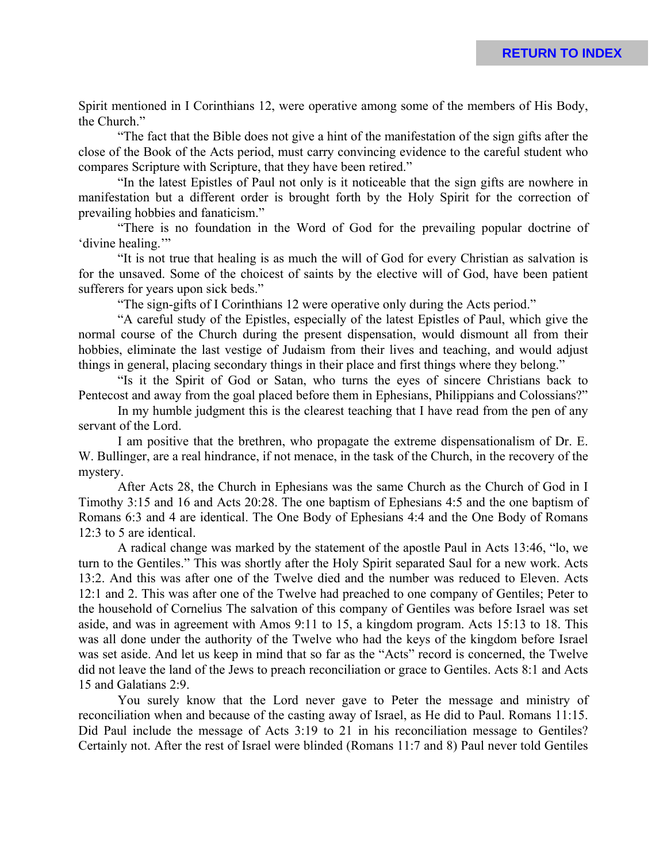Spirit mentioned in I Corinthians 12, were operative among some of the members of His Body, the Church."

"The fact that the Bible does not give a hint of the manifestation of the sign gifts after the close of the Book of the Acts period, must carry convincing evidence to the careful student who compares Scripture with Scripture, that they have been retired."

"In the latest Epistles of Paul not only is it noticeable that the sign gifts are nowhere in manifestation but a different order is brought forth by the Holy Spirit for the correction of prevailing hobbies and fanaticism."

"There is no foundation in the Word of God for the prevailing popular doctrine of 'divine healing.'"

"It is not true that healing is as much the will of God for every Christian as salvation is for the unsaved. Some of the choicest of saints by the elective will of God, have been patient sufferers for years upon sick beds."

"The sign-gifts of I Corinthians 12 were operative only during the Acts period."

"A careful study of the Epistles, especially of the latest Epistles of Paul, which give the normal course of the Church during the present dispensation, would dismount all from their hobbies, eliminate the last vestige of Judaism from their lives and teaching, and would adjust things in general, placing secondary things in their place and first things where they belong."

"Is it the Spirit of God or Satan, who turns the eyes of sincere Christians back to Pentecost and away from the goal placed before them in Ephesians, Philippians and Colossians?"

In my humble judgment this is the clearest teaching that I have read from the pen of any servant of the Lord.

I am positive that the brethren, who propagate the extreme dispensationalism of Dr. E. W. Bullinger, are a real hindrance, if not menace, in the task of the Church, in the recovery of the mystery.

After Acts 28, the Church in Ephesians was the same Church as the Church of God in I Timothy 3:15 and 16 and Acts 20:28. The one baptism of Ephesians 4:5 and the one baptism of Romans 6:3 and 4 are identical. The One Body of Ephesians 4:4 and the One Body of Romans 12:3 to 5 are identical.

A radical change was marked by the statement of the apostle Paul in Acts 13:46, "lo, we turn to the Gentiles." This was shortly after the Holy Spirit separated Saul for a new work. Acts 13:2. And this was after one of the Twelve died and the number was reduced to Eleven. Acts 12:1 and 2. This was after one of the Twelve had preached to one company of Gentiles; Peter to the household of Cornelius The salvation of this company of Gentiles was before Israel was set aside, and was in agreement with Amos 9:11 to 15, a kingdom program. Acts 15:13 to 18. This was all done under the authority of the Twelve who had the keys of the kingdom before Israel was set aside. And let us keep in mind that so far as the "Acts" record is concerned, the Twelve did not leave the land of the Jews to preach reconciliation or grace to Gentiles. Acts 8:1 and Acts 15 and Galatians 2:9.

You surely know that the Lord never gave to Peter the message and ministry of reconciliation when and because of the casting away of Israel, as He did to Paul. Romans 11:15. Did Paul include the message of Acts 3:19 to 21 in his reconciliation message to Gentiles? Certainly not. After the rest of Israel were blinded (Romans 11:7 and 8) Paul never told Gentiles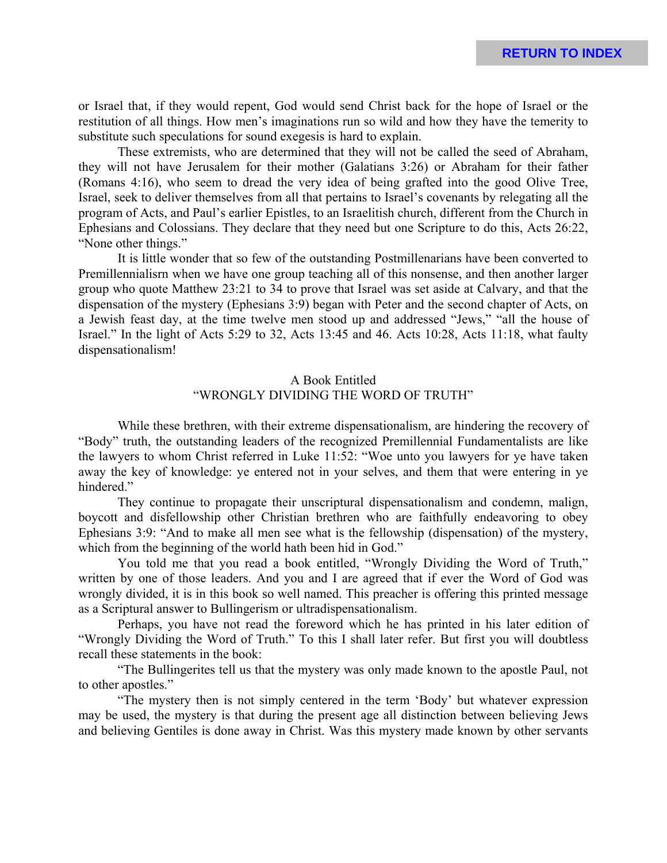or Israel that, if they would repent, God would send Christ back for the hope of Israel or the restitution of all things. How men's imaginations run so wild and how they have the temerity to substitute such speculations for sound exegesis is hard to explain.

These extremists, who are determined that they will not be called the seed of Abraham, they will not have Jerusalem for their mother (Galatians 3:26) or Abraham for their father (Romans 4:16), who seem to dread the very idea of being grafted into the good Olive Tree, Israel, seek to deliver themselves from all that pertains to Israel's covenants by relegating all the program of Acts, and Paul's earlier Epistles, to an Israelitish church, different from the Church in Ephesians and Colossians. They declare that they need but one Scripture to do this, Acts 26:22, "None other things."

It is little wonder that so few of the outstanding Postmillenarians have been converted to Premillennialisrn when we have one group teaching all of this nonsense, and then another larger group who quote Matthew 23:21 to 34 to prove that Israel was set aside at Calvary, and that the dispensation of the mystery (Ephesians 3:9) began with Peter and the second chapter of Acts, on a Jewish feast day, at the time twelve men stood up and addressed "Jews," "all the house of Israel." In the light of Acts 5:29 to 32, Acts 13:45 and 46. Acts 10:28, Acts 11:18, what faulty dispensationalism!

# A Book Entitled "WRONGLY DIVIDING THE WORD OF TRUTH"

While these brethren, with their extreme dispensationalism, are hindering the recovery of "Body" truth, the outstanding leaders of the recognized Premillennial Fundamentalists are like the lawyers to whom Christ referred in Luke 11:52: "Woe unto you lawyers for ye have taken away the key of knowledge: ye entered not in your selves, and them that were entering in ye hindered."

They continue to propagate their unscriptural dispensationalism and condemn, malign, boycott and disfellowship other Christian brethren who are faithfully endeavoring to obey Ephesians 3:9: "And to make all men see what is the fellowship (dispensation) of the mystery, which from the beginning of the world hath been hid in God."

You told me that you read a book entitled, "Wrongly Dividing the Word of Truth," written by one of those leaders. And you and I are agreed that if ever the Word of God was wrongly divided, it is in this book so well named. This preacher is offering this printed message as a Scriptural answer to Bullingerism or ultradispensationalism.

Perhaps, you have not read the foreword which he has printed in his later edition of "Wrongly Dividing the Word of Truth." To this I shall later refer. But first you will doubtless recall these statements in the book:

"The Bullingerites tell us that the mystery was only made known to the apostle Paul, not to other apostles."

"The mystery then is not simply centered in the term 'Body' but whatever expression may be used, the mystery is that during the present age all distinction between believing Jews and believing Gentiles is done away in Christ. Was this mystery made known by other servants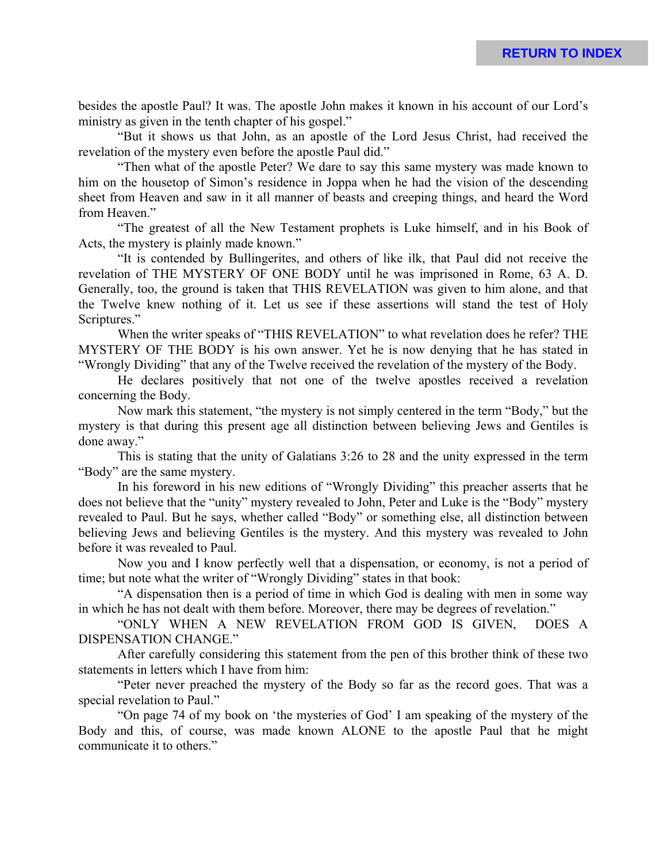besides the apostle Paul? It was. The apostle John makes it known in his account of our Lord's ministry as given in the tenth chapter of his gospel."

"But it shows us that John, as an apostle of the Lord Jesus Christ, had received the revelation of the mystery even before the apostle Paul did."

"Then what of the apostle Peter? We dare to say this same mystery was made known to him on the housetop of Simon's residence in Joppa when he had the vision of the descending sheet from Heaven and saw in it all manner of beasts and creeping things, and heard the Word from Heaven."

"The greatest of all the New Testament prophets is Luke himself, and in his Book of Acts, the mystery is plainly made known."

"It is contended by Bullingerites, and others of like ilk, that Paul did not receive the revelation of THE MYSTERY OF ONE BODY until he was imprisoned in Rome, 63 A. D. Generally, too, the ground is taken that THIS REVELATION was given to him alone, and that the Twelve knew nothing of it. Let us see if these assertions will stand the test of Holy Scriptures."

When the writer speaks of "THIS REVELATION" to what revelation does he refer? THE MYSTERY OF THE BODY is his own answer. Yet he is now denying that he has stated in "Wrongly Dividing" that any of the Twelve received the revelation of the mystery of the Body.

He declares positively that not one of the twelve apostles received a revelation concerning the Body.

Now mark this statement, "the mystery is not simply centered in the term "Body," but the mystery is that during this present age all distinction between believing Jews and Gentiles is done away."

This is stating that the unity of Galatians 3:26 to 28 and the unity expressed in the term "Body" are the same mystery.

In his foreword in his new editions of "Wrongly Dividing" this preacher asserts that he does not believe that the "unity" mystery revealed to John, Peter and Luke is the "Body" mystery revealed to Paul. But he says, whether called "Body" or something else, all distinction between believing Jews and believing Gentiles is the mystery. And this mystery was revealed to John before it was revealed to Paul.

Now you and I know perfectly well that a dispensation, or economy, is not a period of time; but note what the writer of "Wrongly Dividing" states in that book:

"A dispensation then is a period of time in which God is dealing with men in some way in which he has not dealt with them before. Moreover, there may be degrees of revelation."

"ONLY WHEN A NEW REVELATION FROM GOD IS GIVEN, DOES A DISPENSATION CHANGE."

After carefully considering this statement from the pen of this brother think of these two statements in letters which I have from him:

"Peter never preached the mystery of the Body so far as the record goes. That was a special revelation to Paul."

"On page 74 of my book on 'the mysteries of God' I am speaking of the mystery of the Body and this, of course, was made known ALONE to the apostle Paul that he might communicate it to others."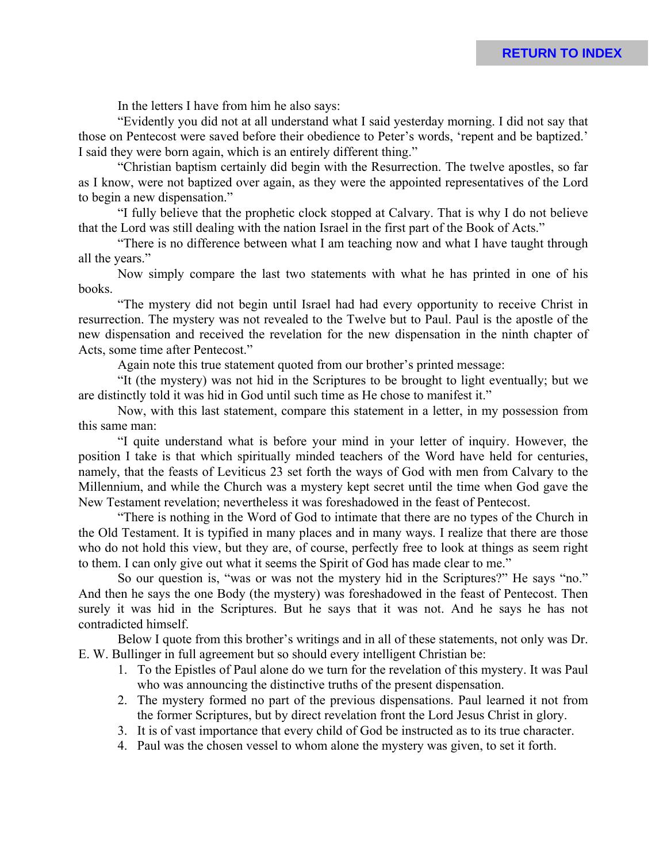In the letters I have from him he also says:

"Evidently you did not at all understand what I said yesterday morning. I did not say that those on Pentecost were saved before their obedience to Peter's words, 'repent and be baptized.' I said they were born again, which is an entirely different thing."

"Christian baptism certainly did begin with the Resurrection. The twelve apostles, so far as I know, were not baptized over again, as they were the appointed representatives of the Lord to begin a new dispensation."

"I fully believe that the prophetic clock stopped at Calvary. That is why I do not believe that the Lord was still dealing with the nation Israel in the first part of the Book of Acts."

"There is no difference between what I am teaching now and what I have taught through all the years."

Now simply compare the last two statements with what he has printed in one of his books.

"The mystery did not begin until Israel had had every opportunity to receive Christ in resurrection. The mystery was not revealed to the Twelve but to Paul. Paul is the apostle of the new dispensation and received the revelation for the new dispensation in the ninth chapter of Acts, some time after Pentecost."

Again note this true statement quoted from our brother's printed message:

"It (the mystery) was not hid in the Scriptures to be brought to light eventually; but we are distinctly told it was hid in God until such time as He chose to manifest it."

Now, with this last statement, compare this statement in a letter, in my possession from this same man:

"I quite understand what is before your mind in your letter of inquiry. However, the position I take is that which spiritually minded teachers of the Word have held for centuries, namely, that the feasts of Leviticus 23 set forth the ways of God with men from Calvary to the Millennium, and while the Church was a mystery kept secret until the time when God gave the New Testament revelation; nevertheless it was foreshadowed in the feast of Pentecost.

"There is nothing in the Word of God to intimate that there are no types of the Church in the Old Testament. It is typified in many places and in many ways. I realize that there are those who do not hold this view, but they are, of course, perfectly free to look at things as seem right to them. I can only give out what it seems the Spirit of God has made clear to me."

So our question is, "was or was not the mystery hid in the Scriptures?" He says "no." And then he says the one Body (the mystery) was foreshadowed in the feast of Pentecost. Then surely it was hid in the Scriptures. But he says that it was not. And he says he has not contradicted himself.

Below I quote from this brother's writings and in all of these statements, not only was Dr. E. W. Bullinger in full agreement but so should every intelligent Christian be:

- 1. To the Epistles of Paul alone do we turn for the revelation of this mystery. It was Paul who was announcing the distinctive truths of the present dispensation.
- 2. The mystery formed no part of the previous dispensations. Paul learned it not from the former Scriptures, but by direct revelation front the Lord Jesus Christ in glory.
- 3. It is of vast importance that every child of God be instructed as to its true character.
- 4. Paul was the chosen vessel to whom alone the mystery was given, to set it forth.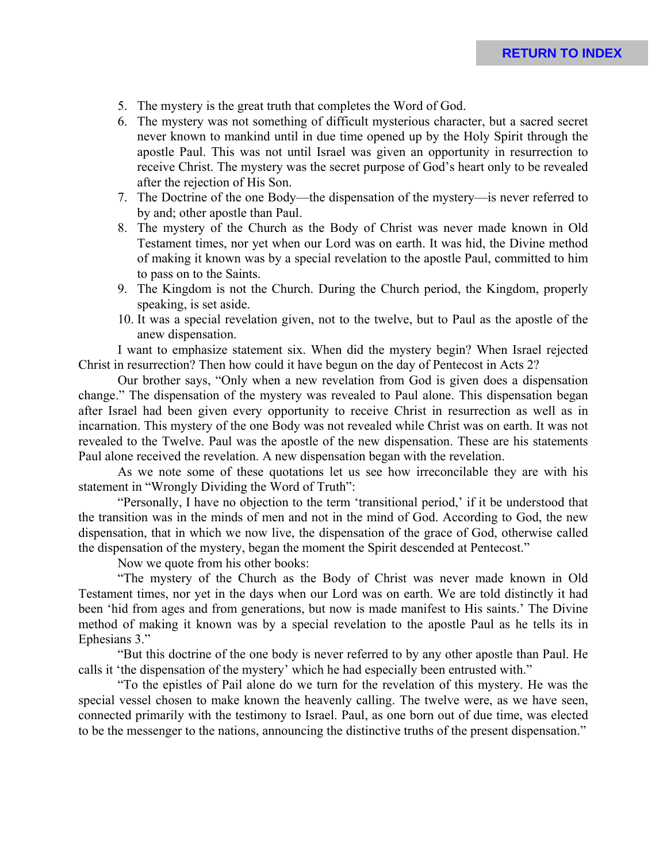- 5. The mystery is the great truth that completes the Word of God.
- 6. The mystery was not something of difficult mysterious character, but a sacred secret never known to mankind until in due time opened up by the Holy Spirit through the apostle Paul. This was not until Israel was given an opportunity in resurrection to receive Christ. The mystery was the secret purpose of God's heart only to be revealed after the rejection of His Son.
- 7. The Doctrine of the one Body—the dispensation of the mystery—is never referred to by and; other apostle than Paul.
- 8. The mystery of the Church as the Body of Christ was never made known in Old Testament times, nor yet when our Lord was on earth. It was hid, the Divine method of making it known was by a special revelation to the apostle Paul, committed to him to pass on to the Saints.
- 9. The Kingdom is not the Church. During the Church period, the Kingdom, properly speaking, is set aside.
- 10. It was a special revelation given, not to the twelve, but to Paul as the apostle of the anew dispensation.

I want to emphasize statement six. When did the mystery begin? When Israel rejected Christ in resurrection? Then how could it have begun on the day of Pentecost in Acts 2?

Our brother says, "Only when a new revelation from God is given does a dispensation change." The dispensation of the mystery was revealed to Paul alone. This dispensation began after Israel had been given every opportunity to receive Christ in resurrection as well as in incarnation. This mystery of the one Body was not revealed while Christ was on earth. It was not revealed to the Twelve. Paul was the apostle of the new dispensation. These are his statements Paul alone received the revelation. A new dispensation began with the revelation.

As we note some of these quotations let us see how irreconcilable they are with his statement in "Wrongly Dividing the Word of Truth":

"Personally, I have no objection to the term 'transitional period,' if it be understood that the transition was in the minds of men and not in the mind of God. According to God, the new dispensation, that in which we now live, the dispensation of the grace of God, otherwise called the dispensation of the mystery, began the moment the Spirit descended at Pentecost."

Now we quote from his other books:

"The mystery of the Church as the Body of Christ was never made known in Old Testament times, nor yet in the days when our Lord was on earth. We are told distinctly it had been 'hid from ages and from generations, but now is made manifest to His saints.' The Divine method of making it known was by a special revelation to the apostle Paul as he tells its in Ephesians 3."

"But this doctrine of the one body is never referred to by any other apostle than Paul. He calls it 'the dispensation of the mystery' which he had especially been entrusted with."

"To the epistles of Pail alone do we turn for the revelation of this mystery. He was the special vessel chosen to make known the heavenly calling. The twelve were, as we have seen, connected primarily with the testimony to Israel. Paul, as one born out of due time, was elected to be the messenger to the nations, announcing the distinctive truths of the present dispensation."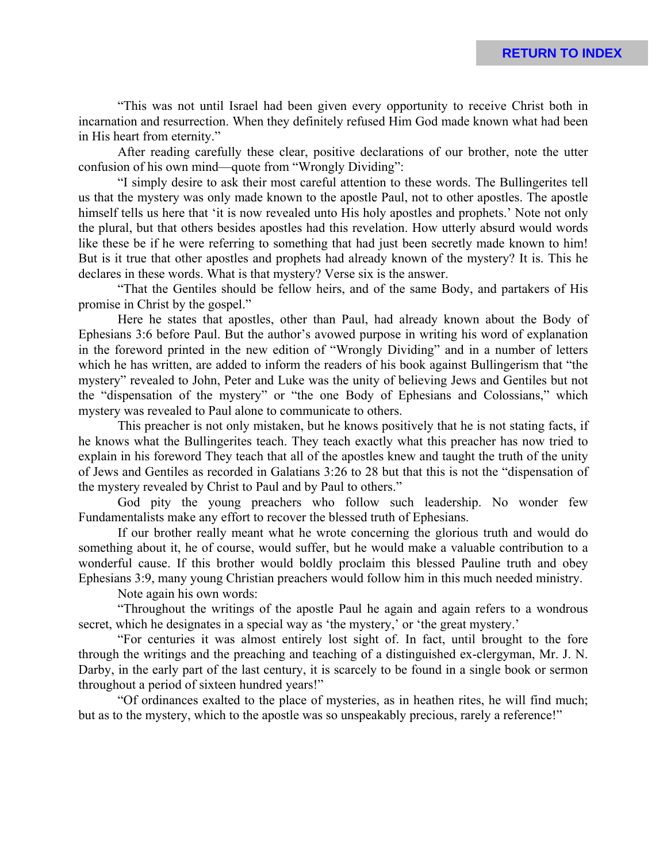"This was not until Israel had been given every opportunity to receive Christ both in incarnation and resurrection. When they definitely refused Him God made known what had been in His heart from eternity."

After reading carefully these clear, positive declarations of our brother, note the utter confusion of his own mind—quote from "Wrongly Dividing":

"I simply desire to ask their most careful attention to these words. The Bullingerites tell us that the mystery was only made known to the apostle Paul, not to other apostles. The apostle himself tells us here that 'it is now revealed unto His holy apostles and prophets.' Note not only the plural, but that others besides apostles had this revelation. How utterly absurd would words like these be if he were referring to something that had just been secretly made known to him! But is it true that other apostles and prophets had already known of the mystery? It is. This he declares in these words. What is that mystery? Verse six is the answer.

"That the Gentiles should be fellow heirs, and of the same Body, and partakers of His promise in Christ by the gospel."

Here he states that apostles, other than Paul, had already known about the Body of Ephesians 3:6 before Paul. But the author's avowed purpose in writing his word of explanation in the foreword printed in the new edition of "Wrongly Dividing" and in a number of letters which he has written, are added to inform the readers of his book against Bullingerism that "the mystery" revealed to John, Peter and Luke was the unity of believing Jews and Gentiles but not the "dispensation of the mystery" or "the one Body of Ephesians and Colossians," which mystery was revealed to Paul alone to communicate to others.

This preacher is not only mistaken, but he knows positively that he is not stating facts, if he knows what the Bullingerites teach. They teach exactly what this preacher has now tried to explain in his foreword They teach that all of the apostles knew and taught the truth of the unity of Jews and Gentiles as recorded in Galatians 3:26 to 28 but that this is not the "dispensation of the mystery revealed by Christ to Paul and by Paul to others."

God pity the young preachers who follow such leadership. No wonder few Fundamentalists make any effort to recover the blessed truth of Ephesians.

If our brother really meant what he wrote concerning the glorious truth and would do something about it, he of course, would suffer, but he would make a valuable contribution to a wonderful cause. If this brother would boldly proclaim this blessed Pauline truth and obey Ephesians 3:9, many young Christian preachers would follow him in this much needed ministry.

Note again his own words:

"Throughout the writings of the apostle Paul he again and again refers to a wondrous secret, which he designates in a special way as 'the mystery,' or 'the great mystery.'

"For centuries it was almost entirely lost sight of. In fact, until brought to the fore through the writings and the preaching and teaching of a distinguished ex-clergyman, Mr. J. N. Darby, in the early part of the last century, it is scarcely to be found in a single book or sermon throughout a period of sixteen hundred years!"

"Of ordinances exalted to the place of mysteries, as in heathen rites, he will find much; but as to the mystery, which to the apostle was so unspeakably precious, rarely a reference!"